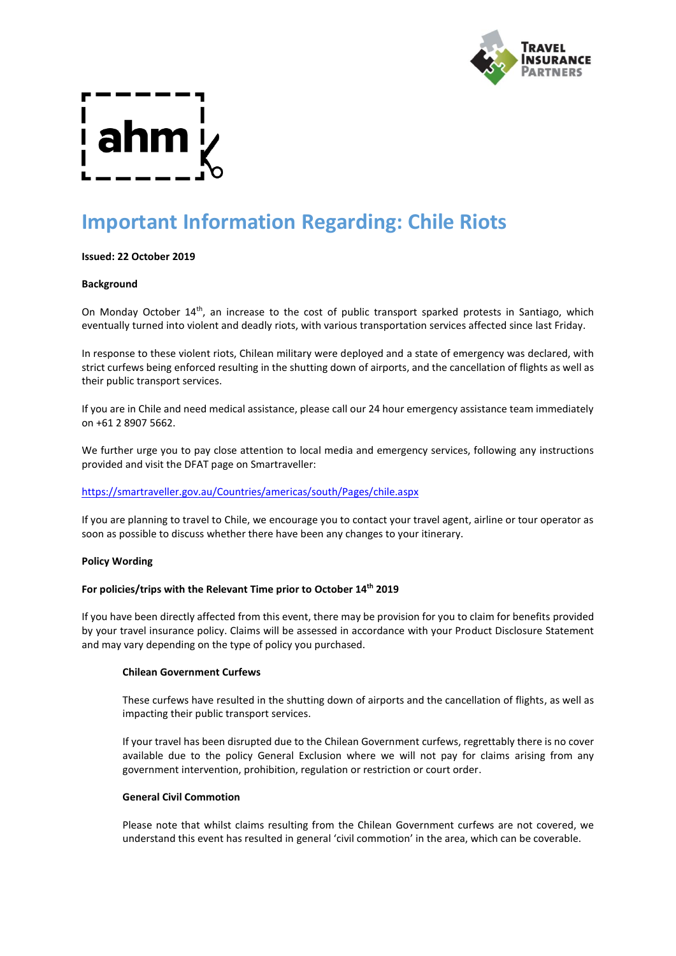

# **Important Information Regarding: Chile Riots**

# **Issued: 22 October 2019**

### **Background**

On Monday October 14<sup>th</sup>, an increase to the cost of public transport sparked protests in Santiago, which eventually turned into violent and deadly riots, with various transportation services affected since last Friday.

In response to these violent riots, Chilean military were deployed and a state of emergency was declared, with strict curfews being enforced resulting in the shutting down of airports, and the cancellation of flights as well as their public transport services.

If you are in Chile and need medical assistance, please call our 24 hour emergency assistance team immediately on +61 2 8907 5662.

We further urge you to pay close attention to local media and emergency services, following any instructions provided and visit the DFAT page on Smartraveller:

# <https://smartraveller.gov.au/Countries/americas/south/Pages/chile.aspx>

If you are planning to travel to Chile, we encourage you to contact your travel agent, airline or tour operator as soon as possible to discuss whether there have been any changes to your itinerary.

### **Policy Wording**

### **For policies/trips with the Relevant Time prior to October 14th 2019**

If you have been directly affected from this event, there may be provision for you to claim for benefits provided by your travel insurance policy. Claims will be assessed in accordance with your Product Disclosure Statement and may vary depending on the type of policy you purchased.

### **Chilean Government Curfews**

These curfews have resulted in the shutting down of airports and the cancellation of flights, as well as impacting their public transport services.

If your travel has been disrupted due to the Chilean Government curfews, regrettably there is no cover available due to the policy General Exclusion where we will not pay for claims arising from any government intervention, prohibition, regulation or restriction or court order.

### **General Civil Commotion**

Please note that whilst claims resulting from the Chilean Government curfews are not covered, we understand this event has resulted in general 'civil commotion' in the area, which can be coverable.